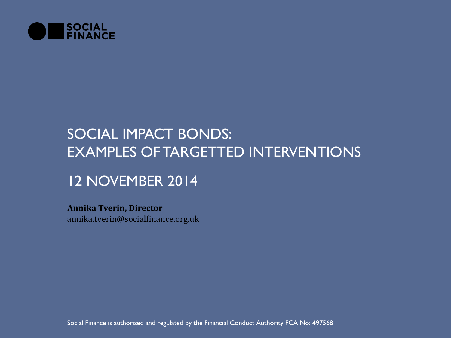

# SOCIAL IMPACT BONDS: EXAMPLES OF TARGETTED INTERVENTIONS

# 12 NOVEMBER 2014

**Annika Tverin, Director** annika.tverin@socialfinance.org.uk

Social Finance is authorised and regulated by the Financial Conduct Authority FCA No: 497568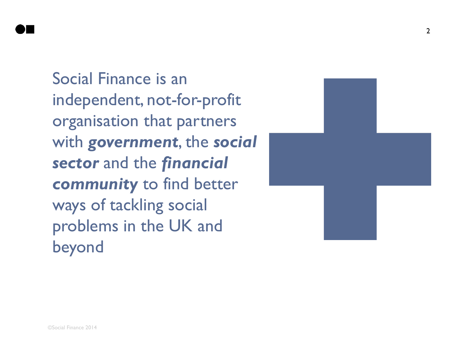Social Finance is an independent, not-for-profit organisation that partners with *government*, the *social sector* and the *financial community* to find better ways of tackling social problems in the UK and beyond

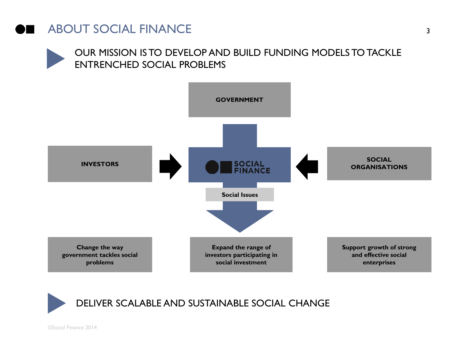

## OUR MISSION IS TO DEVELOP AND BUILD FUNDING MODELS TO TACKLE ENTRENCHED SOCIAL PROBLEMS



DELIVER SCALABLE AND SUSTAINABLE SOCIAL CHANGE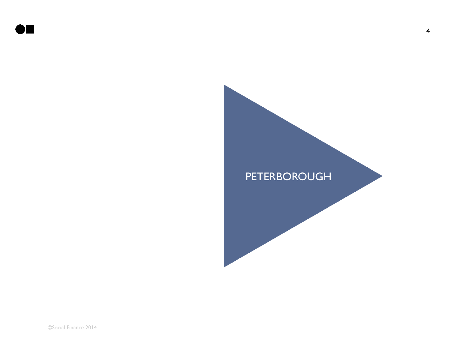

# PETERBOROUGH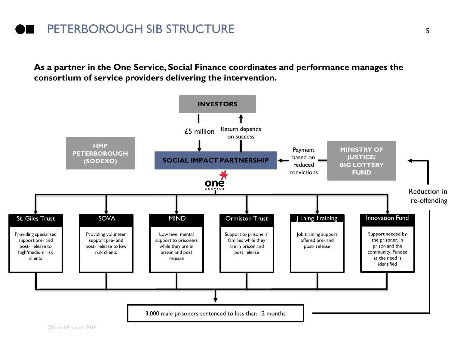**As a partner in the One Service, Social Finance coordinates and performance manages the consortium of service providers delivering the intervention.**

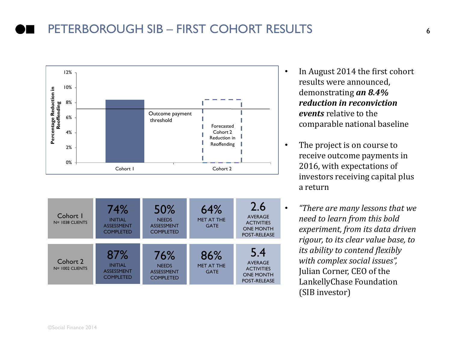

- In August 2014 the first cohort results were announced, demonstrating *an 8.4% reduction in reconviction events* relative to the comparable national baseline
- The project is on course to receive outcome payments in 2016, with expectations of investors receiving capital plus a return
- *"There are many lessons that we need to learn from this bold experiment, from its data driven rigour, to its clear value base, to its ability to contend flexibly with complex social issues",* Julian Corner, CEO of the LankellyChase Foundation (SIB investor)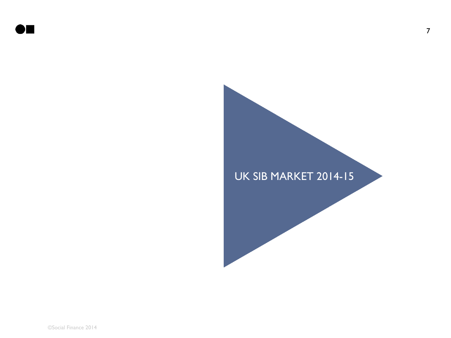

# UK SIB MARKET 2014-15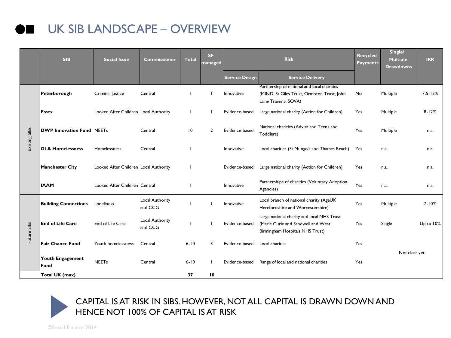# **UK SIB LANDSCAPE – OVERVIEW**

|               | <b>SIB</b>                       | <b>Social Issue</b>                   | <b>Commissioner</b>               | <b>Total</b>    | <b>SF</b><br>managed | <b>Risk</b>           |                                                                                                                     | <b>Recycled</b><br><b>Payments</b> | Single/<br><b>Multiple</b><br><b>Drawdowns</b> | <b>IRR</b>  |
|---------------|----------------------------------|---------------------------------------|-----------------------------------|-----------------|----------------------|-----------------------|---------------------------------------------------------------------------------------------------------------------|------------------------------------|------------------------------------------------|-------------|
|               |                                  |                                       |                                   |                 |                      | <b>Service Design</b> | <b>Service Delivery</b>                                                                                             |                                    |                                                |             |
|               | Peterborough                     | Criminal justice                      | Central                           |                 |                      | Innovative            | Partnership of national and local charities<br>(MIND, St Giles Trust, Ormiston Trust, John<br>Laing Training, SOVA) | No                                 | Multiple                                       | $7.5 - 13%$ |
| Existing SIBs | <b>Essex</b>                     | Looked After Children Local Authority |                                   |                 |                      | Evidence-based        | Large national charity (Action for Children)                                                                        | Yes                                | Multiple                                       | $8 - 12%$   |
|               | <b>DWP Innovation Fund NEETs</b> |                                       | Central                           | $\overline{10}$ | $\mathbf{2}$         | Evidence-based        | National charities (Adviza and Teens and<br>Toddlers)                                                               | Yes                                | Multiple                                       | n.a.        |
|               | <b>GLA Homelessness</b>          | <b>Homelessness</b>                   | Central                           |                 |                      | Innovative            | Local charities (St Mungo's and Thames Reach)                                                                       | Yes                                | n.a.                                           | n.a.        |
|               | <b>Manchester City</b>           | Looked After Children Local Authority |                                   |                 |                      | Evidence-based        | Large national charity (Action for Children)                                                                        | Yes                                | n.a.                                           | n.a.        |
|               | <b>IAAM</b>                      | Looked After Children Central         |                                   |                 |                      | Innovative            | Partnerships of charities (Voluntary Adoption<br>Agencies)                                                          | Yes                                | n.a.                                           | n.a.        |
| Future SIBs   | <b>Building Connections</b>      | Loneliness                            | <b>Local Authority</b><br>and CCG |                 |                      | Innovative            | Local branch of national charity (AgeUK<br>Herefordshire and Worcestershire)                                        | Yes                                | Multiple                                       | $7 - 10%$   |
|               | <b>End of Life Care</b>          | End of Life Care                      | <b>Local Authority</b><br>and CCG |                 |                      | Evidence-based        | Large national charity and local NHS Trust<br>(Marie Curie and Sandwell and West<br>Birmingham Hospitals NHS Trust) | Yes                                | Single                                         | Up to 10%   |
|               | <b>Fair Chance Fund</b>          | Youth homelessness                    | Central                           | $6 - 10$        | 3                    | Evidence-based        | Local charities                                                                                                     | Yes                                |                                                |             |
|               | Youth Engagement<br>Fund         | <b>NEETs</b>                          | Central                           | $6 - 10$        |                      | Evidence-based        | Range of local and national charities                                                                               | Yes                                | Not clear yet                                  |             |
|               | Total UK (max)                   |                                       |                                   | 37              | 10                   |                       |                                                                                                                     |                                    |                                                |             |



CAPITAL IS AT RISK IN SIBS. HOWEVER, NOT ALL CAPITAL IS DRAWN DOWN AND HENCE NOT 100% OF CAPITAL IS AT RISK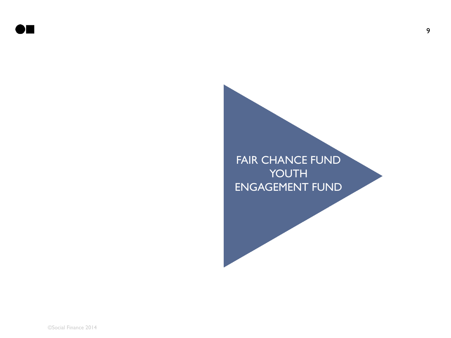

# FAIR CHANCE FUND YOUTH ENGAGEMENT FUND

9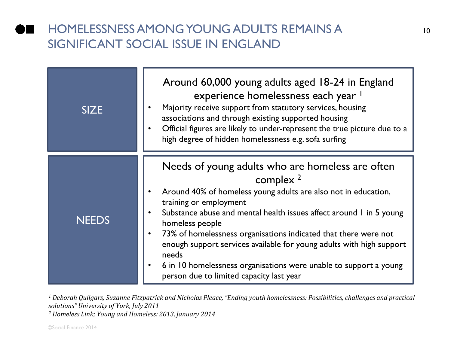# HOMELESSNESS AMONG YOUNG ADULTS REMAINS A SIGNIFICANT SOCIAL ISSUE IN ENGLAND

| <b>SIZE</b>  | Around 60,000 young adults aged 18-24 in England<br>experience homelessness each year 1<br>Majority receive support from statutory services, housing<br>associations and through existing supported housing<br>Official figures are likely to under-represent the true picture due to a<br>high degree of hidden homelessness e.g. sofa surfing                                                                                                                                                                            |
|--------------|----------------------------------------------------------------------------------------------------------------------------------------------------------------------------------------------------------------------------------------------------------------------------------------------------------------------------------------------------------------------------------------------------------------------------------------------------------------------------------------------------------------------------|
| <b>NEEDS</b> | Needs of young adults who are homeless are often<br>complex $2$<br>Around 40% of homeless young adults are also not in education,<br>training or employment<br>Substance abuse and mental health issues affect around 1 in 5 young<br>homeless people<br>73% of homelessness organisations indicated that there were not<br>enough support services available for young adults with high support<br>needs<br>6 in 10 homelessness organisations were unable to support a young<br>person due to limited capacity last year |

*<sup>1</sup> Deborah Quilgars, Suzanne Fitzpatrick and Nicholas Pleace, "Ending youth homelessness: Possibilities, challenges and practical solutions" University of York, July 2011*

*<sup>2</sup> Homeless Link; Young and Homeless: 2013, January 2014*

Ш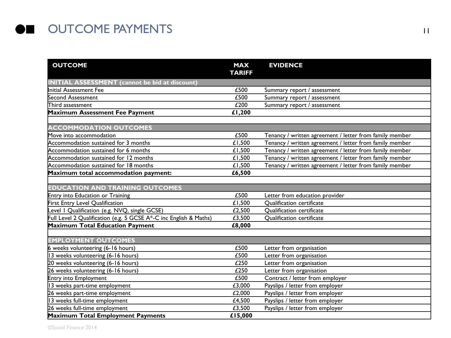

# OUTCOME PAYMENTS

| <b>OUTCOME</b>                                                    | <b>MAX</b><br><b>TARIFF</b> | <b>EVIDENCE</b>                                         |
|-------------------------------------------------------------------|-----------------------------|---------------------------------------------------------|
|                                                                   |                             |                                                         |
| <b>INITIAL ASSESSMENT</b> (cannot be bid at discount)             |                             |                                                         |
| Initial Assessment Fee                                            | £500<br>£500                | Summary report / assessment                             |
| <b>Second Assessment</b>                                          |                             | Summary report / assessment                             |
| $\blacksquare$ Third assessment                                   | £200                        | Summary report / assessment                             |
| Maximum Assessment Fee Payment                                    | £1,200                      |                                                         |
| <b>ACCOMMODATION OUTCOMES</b>                                     |                             |                                                         |
| Move into accommodation                                           | £500                        | Tenancy / written agreement / letter from family member |
| Accommodation sustained for 3 months                              | £1,500                      | Tenancy / written agreement / letter from family member |
| Accommodation sustained for 6 months                              | £1,500                      | Tenancy / written agreement / letter from family member |
| Accommodation sustained for 12 months                             | £1,500                      | Tenancy / written agreement / letter from family member |
| Accommodation sustained for 18 months                             | £1,500                      | Tenancy / written agreement / letter from family member |
| Maximum total accommodation payment:                              | £6,500                      |                                                         |
|                                                                   |                             |                                                         |
| <b>EDUCATION AND TRAINING OUTCOMES</b>                            |                             |                                                         |
| Entry into Education or Training                                  | £500                        | Letter from education provider                          |
| First Entry Level Qualification                                   | £1,500                      | Qualification certificate                               |
| Level I Qualification (e.g. NVQ, single GCSE)                     | £2,500                      | Qualification certificate                               |
| Full Level 2 Qualification (e.g. 5 GCSE A*-C inc English & Maths) | £3,500                      | Qualification certificate                               |
| <b>Maximum Total Education Payment</b>                            | £8,000                      |                                                         |
|                                                                   |                             |                                                         |
| <b>EMPLOYMENT OUTCOMES</b>                                        |                             |                                                         |
| 6 weeks volunteering (6-16 hours)                                 | £500                        | Letter from organisation                                |
| 13 weeks volunteering (6-16 hours)                                | £500                        | Letter from organisation                                |
| 20 weeks volunteering (6-16 hours)                                | £250                        | Letter from organisation                                |
| 26 weeks volunteering (6-16 hours)                                | £250                        | Letter from organisation                                |
| Entry into Employment                                             | £500                        | Contract / letter from employer                         |
| 13 weeks part-time employment                                     | £3,000                      | Payslips / letter from employer                         |
| 26 weeks part-time employment                                     | £2,000                      | Payslips / letter from employer                         |
| 13 weeks full-time employment                                     | £4,500                      | Payslips / letter from employer                         |
| 26 weeks full-time employment                                     | £3,500                      | Payslips / letter from employer                         |
| <b>Maximum Total Employment Payments</b>                          | £15,000                     |                                                         |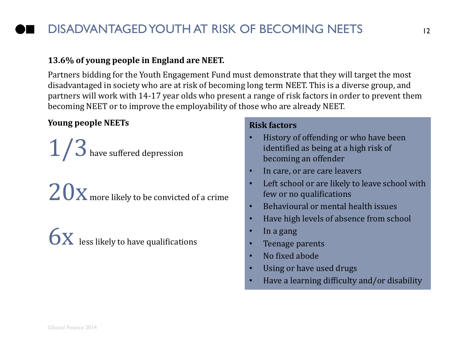# DISADVANTAGED YOUTH AT RISK OF BECOMING NEETS 12

### **13.6% of young people in England are NEET.**

Partners bidding for the Youth Engagement Fund must demonstrate that they will target the most disadvantaged in society who are at risk of becoming long term NEET. This is a diverse group, and partners will work with 14-17 year olds who present a range of risk factors in order to prevent them becoming NEET or to improve the employability of those who are already NEET.

### **Young people NEETs**

 $1/3$  have suffered depression

 $20\mathrm{X}$  more likely to be convicted of a crime

 $6x$  less likely to have qualifications

### **Risk factors**

- History of offending or who have been identified as being at a high risk of becoming an offender
- In care, or are care leavers
- Left school or are likely to leave school with few or no qualifications
- Behavioural or mental health issues
- Have high levels of absence from school
- In a gang
- Teenage parents
- No fixed abode
- Using or have used drugs
- Have a learning difficulty and/or disability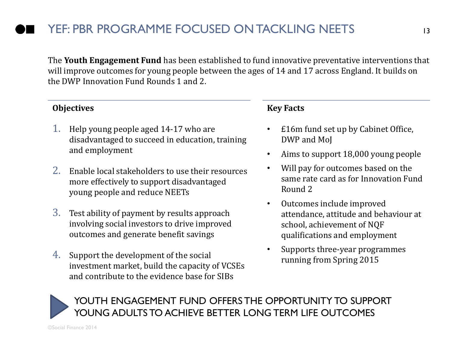# YEF: PBR PROGRAMME FOCUSED ON TACKLING NEETS

The **Youth Engagement Fund** has been established to fund innovative preventative interventions that will improve outcomes for young people between the ages of 14 and 17 across England. It builds on the DWP Innovation Fund Rounds 1 and 2.

### **Objectives**

- 1. Help young people aged 14-17 who are disadvantaged to succeed in education, training and employment
- 2. Enable local stakeholders to use their resources more effectively to support disadvantaged young people and reduce NEETs
- 3. Test ability of payment by results approach involving social investors to drive improved outcomes and generate benefit savings
- 4. Support the development of the social investment market, build the capacity of VCSEs and contribute to the evidence base for SIBs

### **Key Facts**

- £16m fund set up by Cabinet Office, DWP and MoJ
- Aims to support 18,000 young people
- Will pay for outcomes based on the same rate card as for Innovation Fund Round 2
- Outcomes include improved attendance, attitude and behaviour at school, achievement of NQF qualifications and employment
- Supports three-year programmes running from Spring 2015



YOUTH ENGAGEMENT FUND OFFERS THE OPPORTUNITY TO SUPPORT YOUNG ADULTS TO ACHIEVE BETTER LONG TERM LIFE OUTCOMES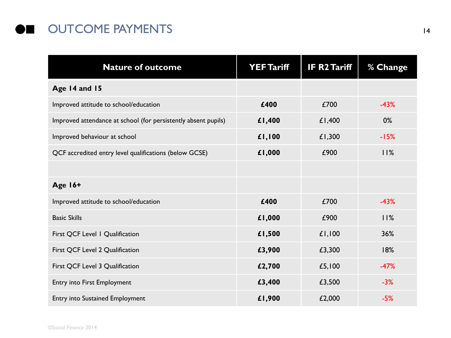

| <b>Nature of outcome</b>                                       | <b>YEF Tariff</b> | <b>IF R2 Tariff</b> | % Change |
|----------------------------------------------------------------|-------------------|---------------------|----------|
| Age 14 and 15                                                  |                   |                     |          |
| Improved attitude to school/education                          | £400              | £700                | $-43%$   |
| Improved attendance at school (for persistently absent pupils) | £1,400            | £ $1,400$           | $0\%$    |
| Improved behaviour at school                                   | £1,100            | £1,300              | $-15%$   |
| QCF accredited entry level qualifications (below GCSE)         | £1,000            | £900                | 11%      |
|                                                                |                   |                     |          |
| Age 16+                                                        |                   |                     |          |
| Improved attitude to school/education                          | £400              | £700                | $-43%$   |
| <b>Basic Skills</b>                                            | £1,000            | £900                | 11%      |
| First QCF Level 1 Qualification                                | £1,500            | £1,100              | 36%      |
| First QCF Level 2 Qualification                                | £3,900            | £3,300              | 18%      |
| First QCF Level 3 Qualification                                | £2,700            | £5,100              | $-47%$   |
| Entry into First Employment                                    | £3,400            | £3,500              | $-3%$    |
| <b>Entry into Sustained Employment</b>                         | £1,900            | £2,000              | $-5%$    |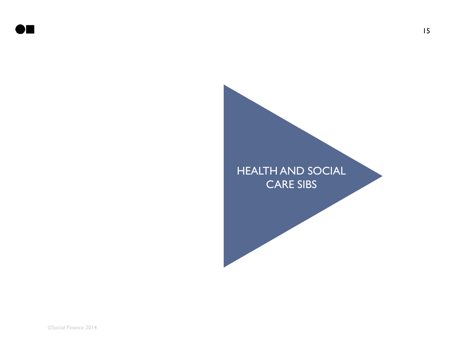

# HEALTH AND SOCIAL CARE SIBS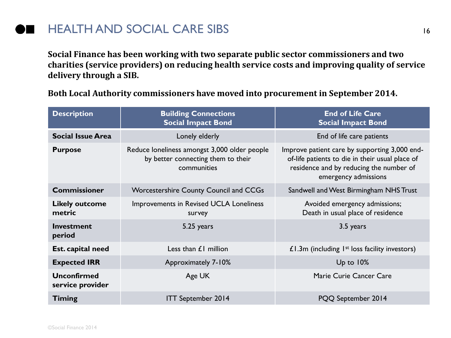### HEALTH AND SOCIAL CARE SIBS

**Social Finance has been working with two separate public sector commissioners and two charities (service providers) on reducing health service costs and improving quality of service delivery through a SIB.**

**Both Local Authority commissioners have moved into procurement in September 2014.**

| <b>Description</b>                     | <b>Building Connections</b><br><b>Social Impact Bond</b>                                          | <b>End of Life Care</b><br><b>Social Impact Bond</b>                                                                                                                |  |  |
|----------------------------------------|---------------------------------------------------------------------------------------------------|---------------------------------------------------------------------------------------------------------------------------------------------------------------------|--|--|
| <b>Social Issue Area</b>               | Lonely elderly                                                                                    | End of life care patients                                                                                                                                           |  |  |
| <b>Purpose</b>                         | Reduce loneliness amongst 3,000 older people<br>by better connecting them to their<br>communities | Improve patient care by supporting 3,000 end-<br>of-life patients to die in their usual place of<br>residence and by reducing the number of<br>emergency admissions |  |  |
| <b>Commissioner</b>                    | Worcestershire County Council and CCGs                                                            | Sandwell and West Birmingham NHS Trust                                                                                                                              |  |  |
| <b>Likely outcome</b><br>metric        | Improvements in Revised UCLA Loneliness<br>survey                                                 | Avoided emergency admissions;<br>Death in usual place of residence                                                                                                  |  |  |
| <b>Investment</b><br>period            | 5.25 years                                                                                        | 3.5 years                                                                                                                                                           |  |  |
| Est. capital need                      | Less than $£1$ million                                                                            | £1.3m (including $1^{st}$ loss facility investors)                                                                                                                  |  |  |
| <b>Expected IRR</b>                    | Approximately 7-10%                                                                               | Up to $10%$                                                                                                                                                         |  |  |
| <b>Unconfirmed</b><br>service provider | Age UK                                                                                            | Marie Curie Cancer Care                                                                                                                                             |  |  |
| <b>Timing</b>                          | <b>ITT September 2014</b>                                                                         | PQQ September 2014                                                                                                                                                  |  |  |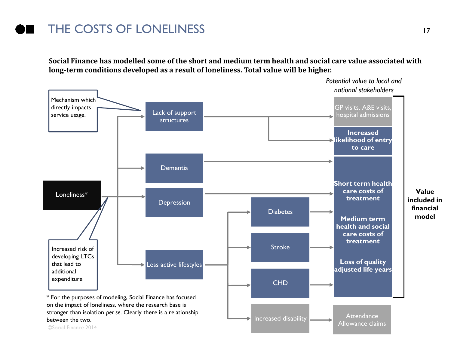### THE COSTS OF LONELINESS **SER**

**Social Finance has modelled some of the short and medium term health and social care value associated with long-term conditions developed as a result of loneliness. Total value will be higher.** 

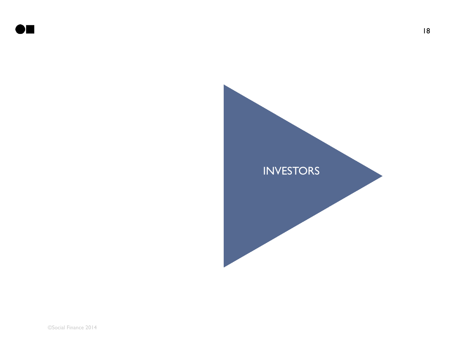

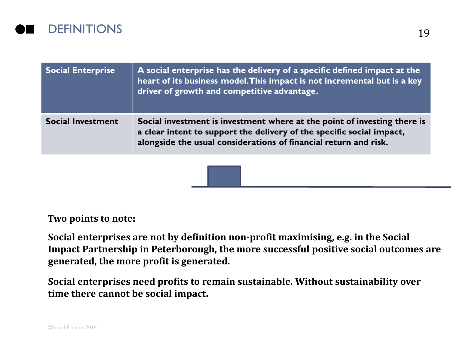

# DEFINITIONS <sup>19</sup>

| <b>Social Enterprise</b> | A social enterprise has the delivery of a specific defined impact at the<br>heart of its business model. This impact is not incremental but is a key<br>driver of growth and competitive advantage.                   |
|--------------------------|-----------------------------------------------------------------------------------------------------------------------------------------------------------------------------------------------------------------------|
| <b>Social Investment</b> | Social investment is investment where at the point of investing there is<br>a clear intent to support the delivery of the specific social impact,<br>alongside the usual considerations of financial return and risk. |



**Two points to note:**

**Social enterprises are not by definition non-profit maximising, e.g. in the Social Impact Partnership in Peterborough, the more successful positive social outcomes are generated, the more profit is generated.**

**Social enterprises need profits to remain sustainable. Without sustainability over time there cannot be social impact.**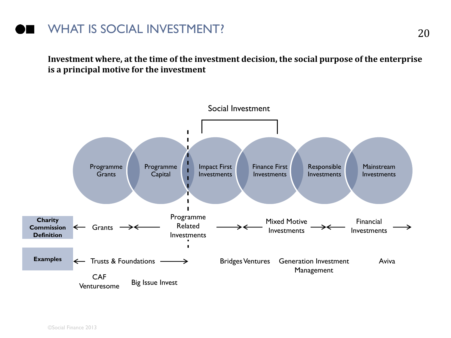# WHAT IS SOCIAL INVESTMENT? 20

**Investment where, at the time of the investment decision, the social purpose of the enterprise is a principal motive for the investment**